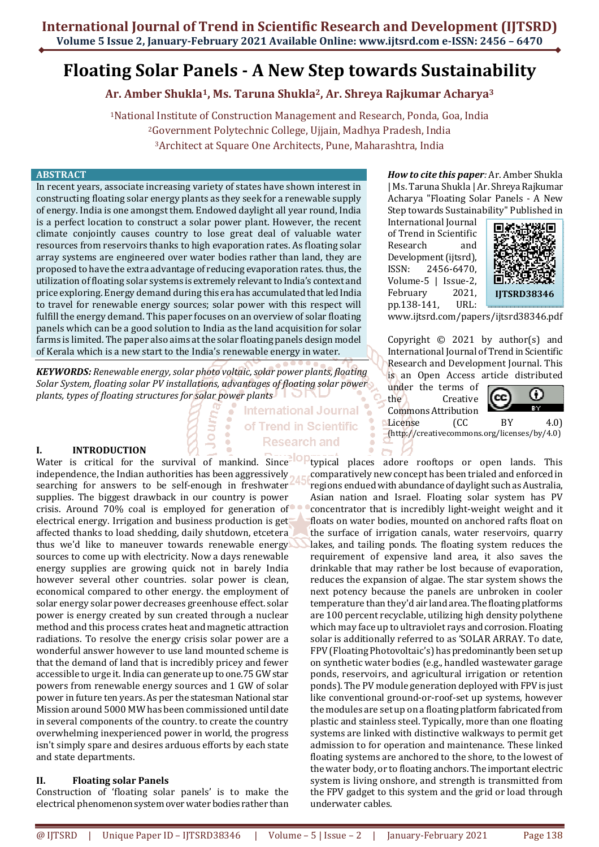# **Floating Solar Panels - A New Step towards Sustainability**

**Ar. Amber Shukla1, Ms. Taruna Shukla2, Ar. Shreya Rajkumar Acharya<sup>3</sup>**

<sup>1</sup>National Institute of Construction Management and Research, Ponda, Goa, India <sup>2</sup>Government Polytechnic College, Ujjain, Madhya Pradesh, India <sup>3</sup>Architect at Square One Architects, Pune, Maharashtra, India

> **International Journal** of Trend in Scientific **Research and**

#### **ABSTRACT**

In recent years, associate increasing variety of states have shown interest in constructing floating solar energy plants as they seek for a renewable supply of energy. India is one amongst them. Endowed daylight all year round, India is a perfect location to construct a solar power plant. However, the recent climate conjointly causes country to lose great deal of valuable water resources from reservoirs thanks to high evaporation rates. As floating solar array systems are engineered over water bodies rather than land, they are proposed to have the extra advantage of reducing evaporation rates. thus, the utilization of floating solar systems is extremely relevant to India's context and price exploring. Energy demand during this era has accumulated that led India to travel for renewable energy sources; solar power with this respect will fulfill the energy demand. This paper focuses on an overview of solar floating panels which can be a good solution to India as the land acquisition for solar farms is limited. The paper also aims at the solar floating panels design model of Kerala which is a new start to the India's renewable energy in water.

*KEYWORDS: Renewable energy, solar photo voltaic, solar power plants, floating Solar System, floating solar PV installations, advantages of floating solar power plants, types of floating structures for solar power plants*

# **I. INTRODUCTION**

Water is critical for the survival of mankind. Since independence, the Indian authorities has been aggressively searching for answers to be self-enough in freshwater supplies. The biggest drawback in our country is power crisis. Around 70% coal is employed for generation of electrical energy. Irrigation and business production is get affected thanks to load shedding, daily shutdown, etcetera thus we'd like to maneuver towards renewable energy sources to come up with electricity. Now a days renewable energy supplies are growing quick not in barely India however several other countries. solar power is clean, economical compared to other energy. the employment of solar energy solar power decreases greenhouse effect. solar power is energy created by sun created through a nuclear method and this process crates heat and magnetic attraction radiations. To resolve the energy crisis solar power are a wonderful answer however to use land mounted scheme is that the demand of land that is incredibly pricey and fewer accessible to urge it. India can generate up to one.75 GW star powers from renewable energy sources and 1 GW of solar power in future ten years. As per the statesman National star Mission around 5000 MW has been commissioned until date in several components of the country. to create the country overwhelming inexperienced power in world, the progress isn't simply spare and desires arduous efforts by each state and state departments.

### **II. Floating solar Panels**

Construction of 'floating solar panels' is to make the electrical phenomenon system over water bodies rather than

*How to cite this paper:* Ar. Amber Shukla | Ms. Taruna Shukla | Ar. Shreya Rajkumar Acharya "Floating Solar Panels - A New Step towards Sustainability" Published in

International Journal of Trend in Scientific Research and Development (ijtsrd), ISSN: 2456-6470, Volume-5 | Issue-2, February 2021, pp.138-141, URL:



www.ijtsrd.com/papers/ijtsrd38346.pdf

Copyright  $\odot$  2021 by author(s) and International Journal of Trend in Scientific Research and Development Journal. This is an Open Access article distributed

under the terms of the Creative Commons Attribution



License (CC BY 4.0) (http://creativecommons.org/licenses/by/4.0)

**IOP** typical places adore rooftops or open lands. This comparatively new concept has been trialed and enforced in regions endued with abundance of daylight such as Australia, Asian nation and Israel. Floating solar system has PV concentrator that is incredibly light-weight weight and it floats on water bodies, mounted on anchored rafts float on the surface of irrigation canals, water reservoirs, quarry lakes, and tailing ponds. The floating system reduces the requirement of expensive land area, it also saves the drinkable that may rather be lost because of evaporation, reduces the expansion of algae. The star system shows the next potency because the panels are unbroken in cooler temperature than they'd air land area. The floating platforms are 100 percent recyclable, utilizing high density polythene which may face up to ultraviolet rays and corrosion. Floating solar is additionally referred to as 'SOLAR ARRAY. To date, FPV (Floating Photovoltaic's) has predominantly been set up on synthetic water bodies (e.g., handled wastewater garage ponds, reservoirs, and agricultural irrigation or retention ponds). The PV module generation deployed with FPV is just like conventional ground-or-roof-set up systems, however the modules are set up on a floating platform fabricated from plastic and stainless steel. Typically, more than one floating systems are linked with distinctive walkways to permit get admission to for operation and maintenance. These linked floating systems are anchored to the shore, to the lowest of the water body, or to floating anchors. The important electric system is living onshore, and strength is transmitted from the FPV gadget to this system and the grid or load through underwater cables.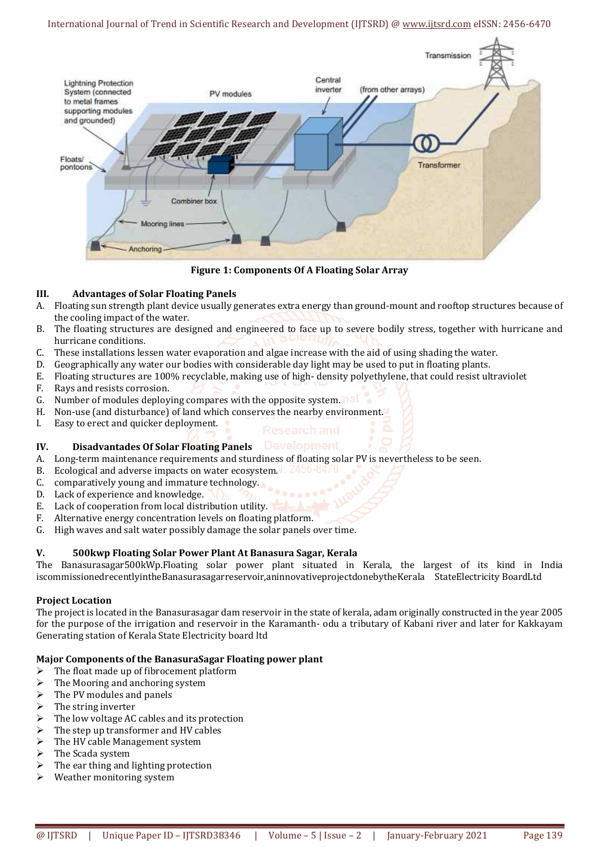### International Journal of Trend in Scientific Research and Development (IJTSRD) @ www.ijtsrd.com eISSN: 2456-6470



**Figure 1: Components Of A Floating Solar Array** 

### **III. Advantages of Solar Floating Panels**

- A. Floating sun strength plant device usually generates extra energy than ground-mount and rooftop structures because of the cooling impact of the water.
- B. The floating structures are designed and engineered to face up to severe bodily stress, together with hurricane and hurricane conditions.
- C. These installations lessen water evaporation and algae increase with the aid of using shading the water.
- D. Geographically any water our bodies with considerable day light may be used to put in floating plants.
- E. Floating structures are 100% recyclable, making use of high- density polyethylene, that could resist ultraviolet
- F. Rays and resists corrosion.
- G. Number of modules deploying compares with the opposite system. nall
- H. Non-use (and disturbance) of land which conserves the nearby environment.
- I. Easy to erect and quicker deployment.

### **IV. Disadvantades Of Solar Floating Panels**

- A. Long-term maintenance requirements and sturdiness of floating solar PV is nevertheless to be seen.
- B. Ecological and adverse impacts on water ecosystem. **2450-04/U**
- C. comparatively young and immature technology.
- D. Lack of experience and knowledge.
- E. Lack of cooperation from local distribution utility.
- F. Alternative energy concentration levels on floating platform.
- G. High waves and salt water possibly damage the solar panels over time.

### **V. 500kwp Floating Solar Power Plant At Banasura Sagar, Kerala**

The Banasurasagar500kWp.Floating solar power plant situated in Kerala, the largest of its kind in India iscommissionedrecentlyintheBanasurasagarreservoir,aninnovativeprojectdonebytheKerala StateElectricity BoardLtd

#### **Project Location**

The project is located in the Banasurasagar dam reservoir in the state of kerala, adam originally constructed in the year 2005 for the purpose of the irrigation and reservoir in the Karamanth- odu a tributary of Kabani river and later for Kakkayam Generating station of Kerala State Electricity board ltd

### **Major Components of the BanasuraSagar Floating power plant**

- $\triangleright$  The float made up of fibrocement platform
- $\triangleright$  The Mooring and anchoring system
- The PV modules and panels
- The string inverter
- $\triangleright$  The low voltage AC cables and its protection
- $\triangleright$  The step up transformer and HV cables
- $\triangleright$  The HV cable Management system
- $\triangleright$  The Scada system
- $\blacktriangleright$  The ear thing and lighting protection
- $\triangleright$  Weather monitoring system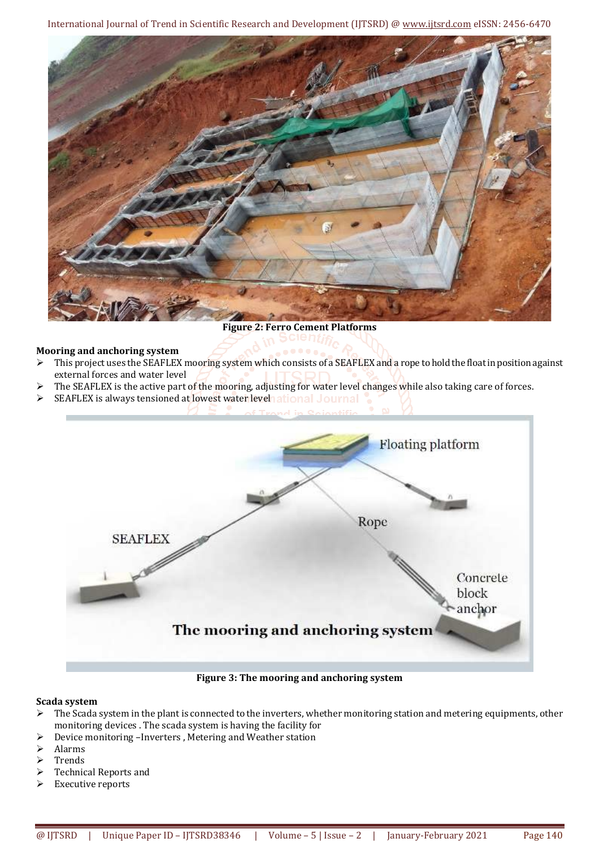International Journal of Trend in Scientific Research and Development (IJTSRD) @ www.ijtsrd.com eISSN: 2456-6470



**Figure 2: Ferro Cement Platforms** 

# **Mooring and anchoring system**

- This project uses the SEAFLEX mooring system which consists of a SEAFLEX and a rope to hold the float in position against external forces and water level
- The SEAFLEX is the active part of the mooring, adjusting for water level changes while also taking care of forces.
- $\triangleright$  SEAFLEX is always tensioned at lowest water level at ional Journal



**Figure 3: The mooring and anchoring system** 

### **Scada system**

- $\triangleright$  The Scada system in the plant is connected to the inverters, whether monitoring station and metering equipments, other monitoring devices . The scada system is having the facility for
- Device monitoring –Inverters , Metering and Weather station
- Alarms
- Trends
- Technical Reports and
- $\triangleright$  Executive reports